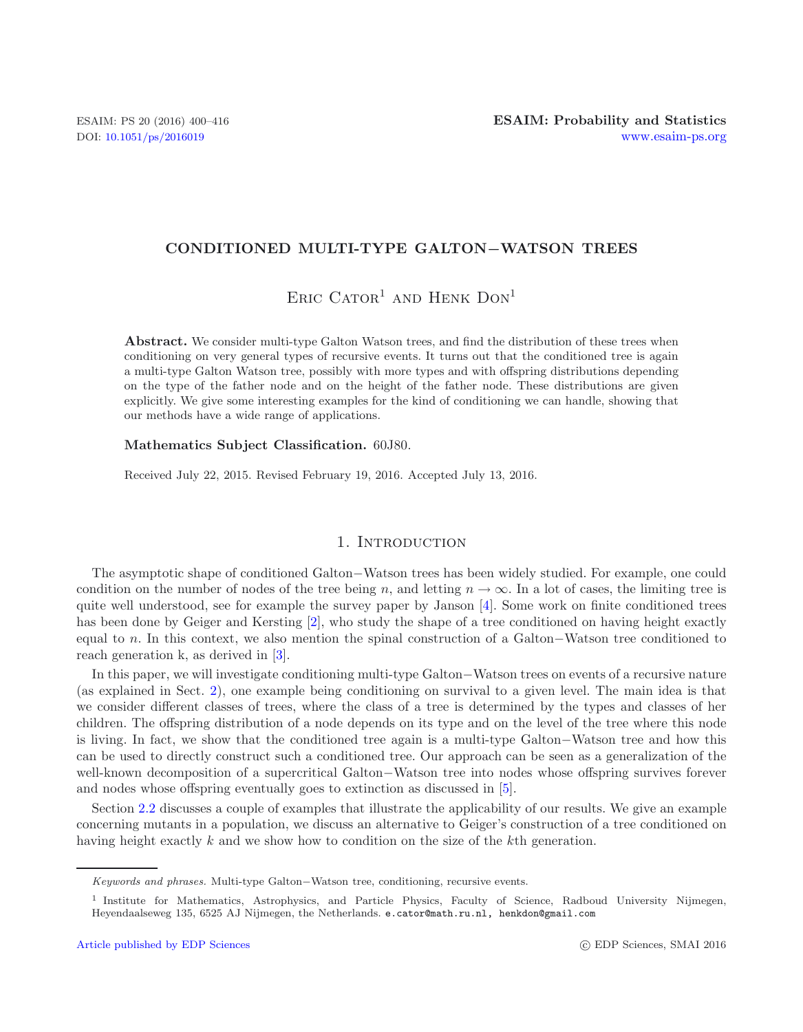## **CONDITIONED MULTI-TYPE GALTON***−***WATSON TREES**

# $Enc$  Cator<sup>1</sup> and Henk Don<sup>1</sup>

**Abstract.** We consider multi-type Galton Watson trees, and find the distribution of these trees when conditioning on very general types of recursive events. It turns out that the conditioned tree is again a multi-type Galton Watson tree, possibly with more types and with offspring distributions depending on the type of the father node and on the height of the father node. These distributions are given explicitly. We give some interesting examples for the kind of conditioning we can handle, showing that our methods have a wide range of applications.

#### **Mathematics Subject Classification.** 60J80.

Received July 22, 2015. Revised February 19, 2016. Accepted July 13, 2016.

### 1. INTRODUCTION

The asymptotic shape of conditioned Galton−Watson trees has been widely studied. For example, one could condition on the number of nodes of the tree being n, and letting  $n \to \infty$ . In a lot of cases, the limiting tree is quite well understood, see for example the survey paper by Janson [\[4](#page-16-0)]. Some work on finite conditioned trees has been done by Geiger and Kersting [\[2](#page-16-1)], who study the shape of a tree conditioned on having height exactly equal to n. In this context, we also mention the spinal construction of a Galton−Watson tree conditioned to reach generation k, as derived in [\[3\]](#page-16-2).

In this paper, we will investigate conditioning multi-type Galton−Watson trees on events of a recursive nature (as explained in Sect. [2\)](#page-1-0), one example being conditioning on survival to a given level. The main idea is that we consider different classes of trees, where the class of a tree is determined by the types and classes of her children. The offspring distribution of a node depends on its type and on the level of the tree where this node is living. In fact, we show that the conditioned tree again is a multi-type Galton−Watson tree and how this can be used to directly construct such a conditioned tree. Our approach can be seen as a generalization of the well-known decomposition of a supercritical Galton−Watson tree into nodes whose offspring survives forever and nodes whose offspring eventually goes to extinction as discussed in [\[5\]](#page-16-3).

Section [2.2](#page-2-0) discusses a couple of examples that illustrate the applicability of our results. We give an example concerning mutants in a population, we discuss an alternative to Geiger's construction of a tree conditioned on having height exactly k and we show how to condition on the size of the kth generation.

*Keywords and phrases.* Multi-type Galton−Watson tree, conditioning, recursive events.

<sup>&</sup>lt;sup>1</sup> Institute for Mathematics, Astrophysics, and Particle Physics, Faculty of Science, Radboud University Nijmegen, Heyendaalseweg 135, 6525 AJ Nijmegen, the Netherlands. e.cator@math.ru.nl, henkdon@gmail.com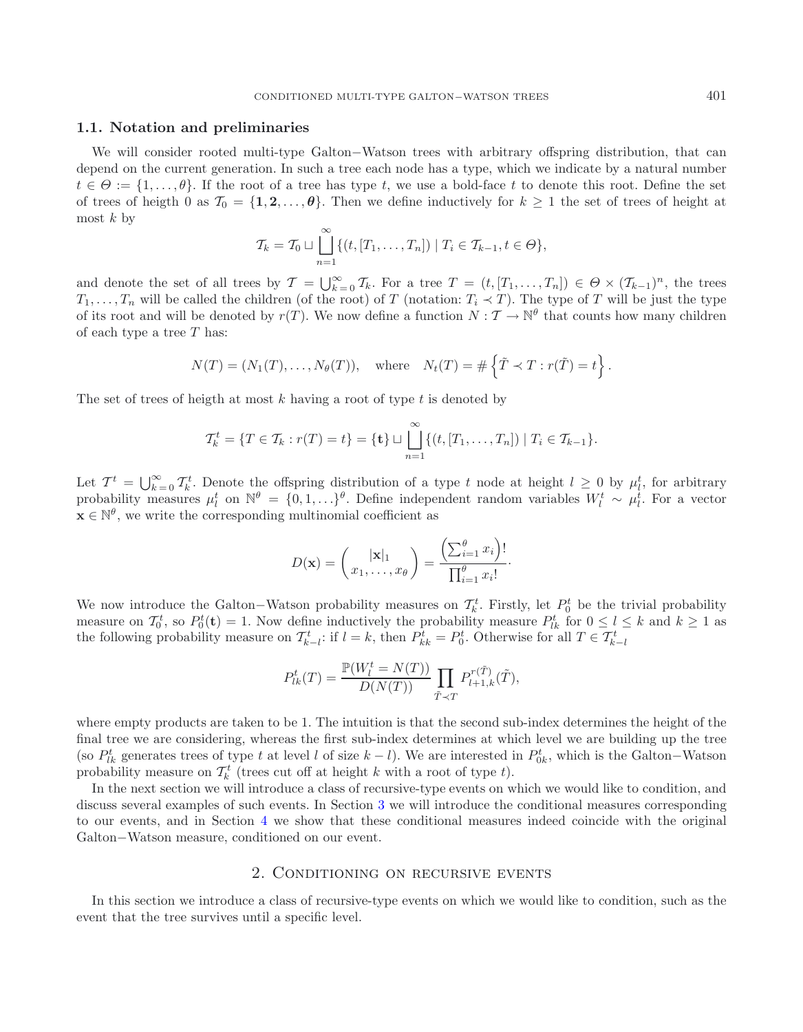#### <span id="page-1-1"></span>**1.1. Notation and preliminaries**

We will consider rooted multi-type Galton−Watson trees with arbitrary offspring distribution, that can depend on the current generation. In such a tree each node has a type, which we indicate by a natural number  $t \in \Theta := \{1, \ldots, \theta\}$ . If the root of a tree has type t, we use a bold-face t to denote this root. Define the set of trees of heigth 0 as  $\mathcal{T}_0 = \{1, 2, \ldots, \theta\}$ . Then we define inductively for  $k \geq 1$  the set of trees of height at most  $k$  by

$$
\mathcal{T}_{k} = \mathcal{T}_{0} \sqcup \bigcup_{n=1}^{\infty} \{ (t, [T_{1}, \ldots, T_{n}]) \mid T_{i} \in \mathcal{T}_{k-1}, t \in \Theta \},\
$$

and denote the set of all trees by  $\mathcal{T} = \bigcup_{k=0}^{\infty} \mathcal{T}_k$ . For a tree  $T = (t, [T_1, \ldots, T_n]) \in \Theta \times (\mathcal{T}_{k-1})^n$ , the trees  $T_k$ , will be called the children (of the root) of T (potation:  $T \prec T$ ). The type of T will be jus  $T_1,\ldots,T_n$  will be called the children (of the root) of T (notation:  $T_i \prec T$ ). The type of T will be just the type of its root and will be denoted by  $r(T)$ . We now define a function  $N : T \to \mathbb{N}^{\theta}$  that counts how many children of each type a tree  $T$  has:

$$
N(T) = (N_1(T), \ldots, N_\theta(T)),
$$
 where  $N_t(T) = # \left\{ \tilde{T} \prec T : r(\tilde{T}) = t \right\}.$ 

The set of trees of heigth at most k having a root of type  $t$  is denoted by

$$
\mathcal{T}_{k}^{t} = \{T \in \mathcal{T}_{k} : r(T) = t\} = \{\mathbf{t}\} \sqcup \bigcup_{n=1}^{\infty} \{(t, [T_{1}, \ldots, T_{n}]) \mid T_{i} \in \mathcal{T}_{k-1}\}.
$$

Let  $T^t = \bigcup_{k=0}^{\infty} T^t_k$ . Denote the offspring distribution of a type t node at height  $l \geq 0$  by  $\mu^t_l$ , for arbitrary probability measures  $\mu^t$  on  $\mathbb{N}^{\theta} = I_0 \mathbb{1} \longrightarrow \mathbb{R}^{\theta}$ . Define independent random var probability measures  $\mu_l^t$  on  $\mathbb{N}^\theta = \{0, 1, \ldots\}^\theta$ . Define independent random variables  $W_l^t \sim \mu_l^i$ . For a vector  $\mathbf{x} \in \mathbb{N}^{\theta}$ , we write the corresponding multinomial coefficient as

$$
D(\mathbf{x}) = \begin{pmatrix} |\mathbf{x}|_1 \\ x_1, \dots, x_{\theta} \end{pmatrix} = \frac{\left(\sum_{i=1}^{\theta} x_i\right)!}{\prod_{i=1}^{\theta} x_i!}.
$$

We now introduce the Galton–Watson probability measures on  $\mathcal{T}_k^t$ . Firstly, let  $P_0^t$  be the trivial probability measure on  $\mathcal{T}_k^t$  so  $P_0^t(t) = 1$ . Now define inductively the probability measure  $P_0^t$  for  $0 \le$ measure on  $\mathcal{T}_0^t$ , so  $P_0^t(\mathbf{t}) = 1$ . Now define inductively the probability measure  $P_{lk}^t$  for  $0 \le l \le k$  and  $k \ge 1$  as the following probability measure on  $\mathcal{T}^t$  if  $l = k$  then  $P^t = P^t$  Otherwise for all  $T \$ the following probability measure on  $\mathcal{T}_{k-l}^t$ : if  $l = k$ , then  $P_{kk}^t = P_0^t$ . Otherwise for all  $T \in \mathcal{T}_{k-l}^t$ 

$$
P_{lk}^{t}(T) = \frac{\mathbb{P}(W_{l}^{t} = N(T))}{D(N(T))} \prod_{\tilde{T} \prec T} P_{l+1,k}^{r(\tilde{T})}(\tilde{T}),
$$

where empty products are taken to be 1. The intuition is that the second sub-index determines the height of the final tree we are considering, whereas the first sub-index determines at which level we are building up the tree (so  $P_{lk}^t$  generates trees of type t at level l of size  $k - l$ ). We are interested in  $P_{0k}^t$ , which is the Galton–Watson<br>probability money on  $\mathcal{T}^t$  (troos cut off at bojght k with a root of type t) probability measure on  $\mathcal{T}_k^t$  (trees cut off at height k with a root of type t).

In the next section we will introduce a class of recursive-type events on which we would like to condition, and discuss several examples of such events. In Section [3](#page-4-0) we will introduce the conditional measures corresponding to our events, and in Section [4](#page-6-0) we show that these conditional measures indeed coincide with the original Galton−Watson measure, conditioned on our event.

#### 2. Conditioning on recursive events

<span id="page-1-0"></span>In this section we introduce a class of recursive-type events on which we would like to condition, such as the event that the tree survives until a specific level.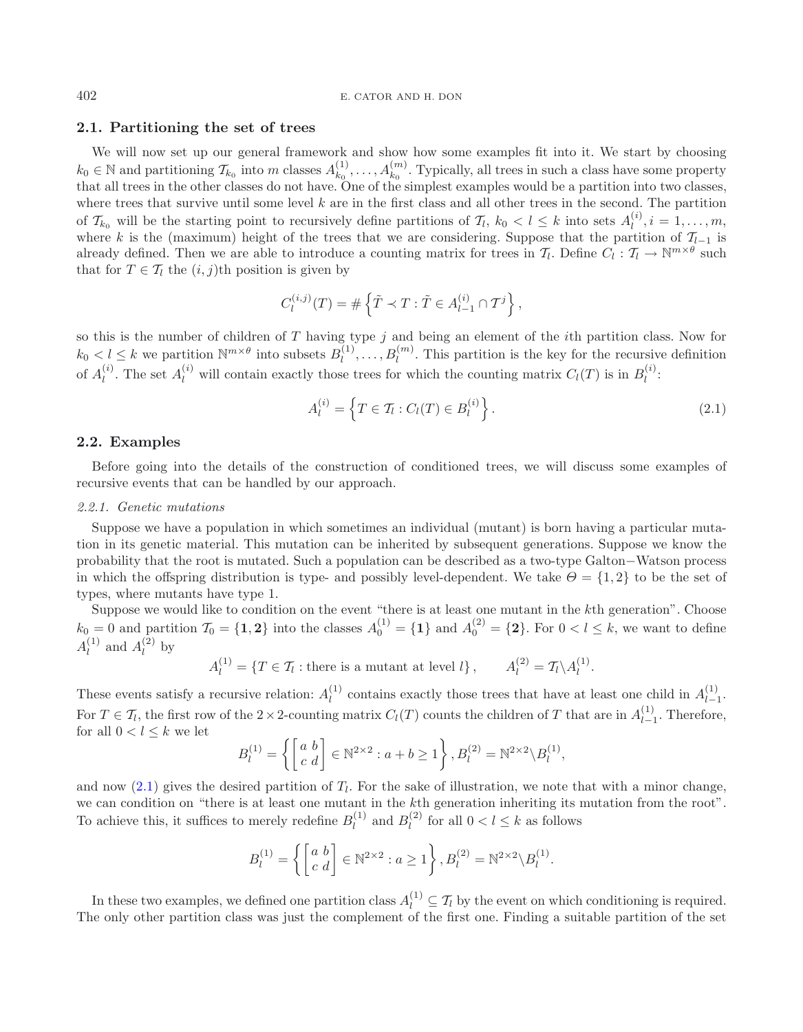#### **2.1. Partitioning the set of trees**

We will now set up our general framework and show how some examples fit into it. We start by choosing  $k_0 \in \mathbb{N}$  and partitioning  $\mathcal{T}_{k_0}$  into m classes  $A_{k_0}^{(1)}, \ldots, A_{k_0}^{(m)}$ . Typically, all trees in such a class have some property that all trees in the other classes do not have. One of the simplest examples would be a partition into two classes, where trees that survive until some level  $k$  are in the first class and all other trees in the second. The partition of  $\mathcal{T}_{k_0}$  will be the starting point to recursively define partitions of  $\mathcal{T}_l$ ,  $k_0 < l \leq k$  into sets  $A_l^{(i)}$ ,  $i = 1, \ldots, m$ ,<br>where k is the (maximum) beight of the trees that we are easidering. Suppose that the p where k is the (maximum) height of the trees that we are considering. Suppose that the partition of  $\mathcal{T}_{l-1}$  is<br>already defined. Then we are able to introduce a counting matrix for trees in  $\mathcal{T}_l$  Define  $C_i \cdot \mathcal{T}_l$ already defined. Then we are able to introduce a counting matrix for trees in  $\mathcal{T}_l$ . Define  $C_l : \mathcal{T}_l \to \mathbb{N}^{m \times \theta}$  such that for  $T \in \mathcal{T}_l$  the  $(i, j)$ th position is given by

<span id="page-2-1"></span>
$$
C_l^{(i,j)}(T) = \# \left\{ \tilde{T} \prec T : \tilde{T} \in A_{l-1}^{(i)} \cap T^j \right\},\
$$

so this is the number of children of  $T$  having type  $j$  and being an element of the *i*th partition class. Now for  $k_0 < l \leq k$  we partition  $\mathbb{N}^{m \times \theta}$  into subsets  $B_l^{(1)}, \ldots, B_l^{(m)}$ . This partition is the key for the recursive definition of  $A_l^{(i)}$ . The set  $A_l^{(i)}$  will contain exactly those trees for which the counting matrix  $C_l(T)$  is in  $B_l^{(i)}$ :

$$
A_l^{(i)} = \left\{ T \in \mathcal{T}_l : C_l(T) \in B_l^{(i)} \right\}.
$$
\n(2.1)

#### <span id="page-2-0"></span>**2.2. Examples**

Before going into the details of the construction of conditioned trees, we will discuss some examples of recursive events that can be handled by our approach.

#### <span id="page-2-2"></span>*2.2.1. Genetic mutations*

Suppose we have a population in which sometimes an individual (mutant) is born having a particular mutation in its genetic material. This mutation can be inherited by subsequent generations. Suppose we know the probability that the root is mutated. Such a population can be described as a two-type Galton−Watson process in which the offspring distribution is type- and possibly level-dependent. We take  $\Theta = \{1, 2\}$  to be the set of types, where mutants have type 1.

Suppose we would like to condition on the event "there is at least one mutant in the kth generation". Choose  $k_0 = 0$  and partition  $\mathcal{T}_0 = \{1, 2\}$  into the classes  $A_0^{(1)} = \{1\}$  and  $A_0^{(2)} = \{2\}$ . For  $0 < l \leq k$ , we want to define  $A_l^{(1)}$  and  $A_l^{(2)}$  by

$$
A_l^{(1)} = \{ T \in \mathcal{T}_l : \text{there is a mutant at level } l \}, \qquad A_l^{(2)} = \mathcal{T}_l \backslash A_l^{(1)}.
$$

These events satisfy a recursive relation:  $A_l^{(1)}$  contains exactly those trees that have at least one child in  $A_{l-1}^{(1)}$ . For  $T \in \mathcal{T}_l$ , the first row of the 2 × 2-counting matrix  $C_l(T)$  counts the children of T that are in  $A_{l-1}^{(1)}$ . Therefore, for all  $0 < l < k$  we let for all  $0 < l \leq k$  we let

$$
B_l^{(1)} = \left\{ \begin{bmatrix} a & b \\ c & d \end{bmatrix} \in \mathbb{N}^{2 \times 2} : a + b \ge 1 \right\}, B_l^{(2)} = \mathbb{N}^{2 \times 2} \backslash B_l^{(1)},
$$

and now  $(2.1)$  gives the desired partition of  $T_l$ . For the sake of illustration, we note that with a minor change, we can condition on "there is at least one mutant in the kth generation inheriting its mutation from the root". To achieve this, it suffices to merely redefine  $B_l^{(1)}$  and  $B_l^{(2)}$  for all  $0 < l \le k$  as follows

$$
B_l^{(1)} = \left\{ \begin{bmatrix} a & b \\ c & d \end{bmatrix} \in \mathbb{N}^{2 \times 2} : a \ge 1 \right\}, B_l^{(2)} = \mathbb{N}^{2 \times 2} \backslash B_l^{(1)}.
$$

In these two examples, we defined one partition class  $A_l^{(1)} \subseteq T_l$  by the event on which conditioning is required. The only other partition class was just the complement of the first one. Finding a suitable partition of the set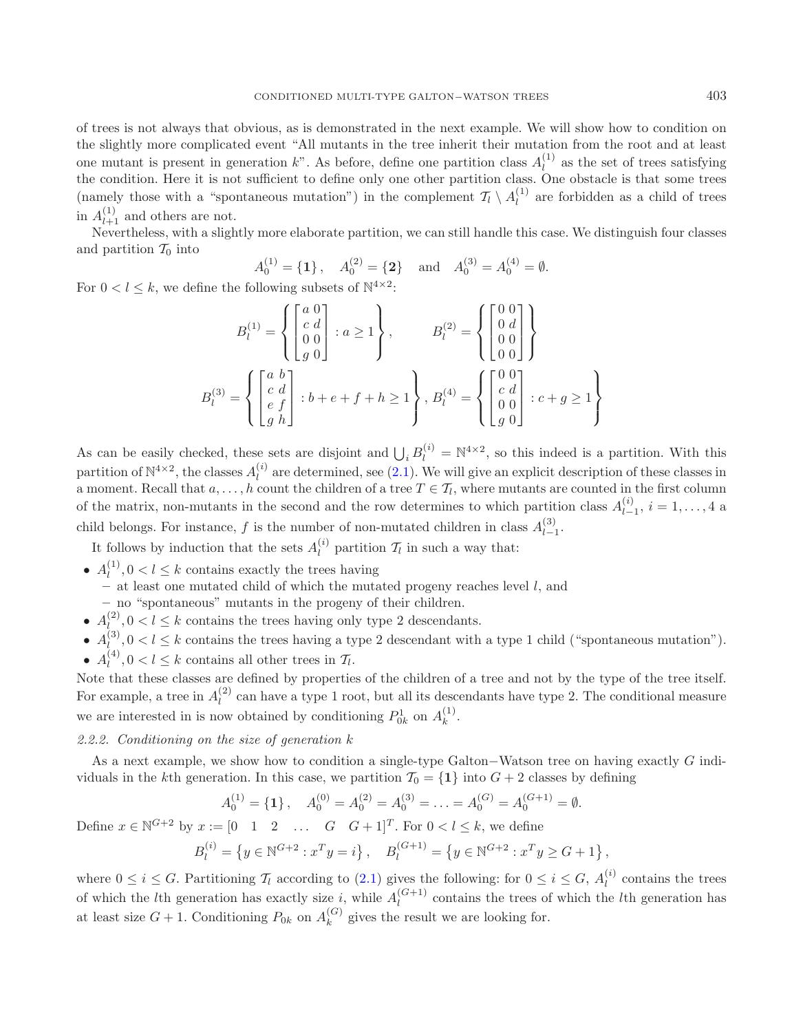of trees is not always that obvious, as is demonstrated in the next example. We will show how to condition on the slightly more complicated event "All mutants in the tree inherit their mutation from the root and at least one mutant is present in generation k". As before, define one partition class  $A_l^{(1)}$  as the set of trees satisfying the condition. Here it is not sufficient to define only one other partition class. One obstacle is that some trees (namely those with a "spontaneous mutation") in the complement  $\mathcal{T}_l \setminus A_l^{(1)}$  are forbidden as a child of trees in  $A_{l+1}^{(1)}$  and others are not.<br>Nevertheless with a slight

Nevertheless, with a slightly more elaborate partition, we can still handle this case. We distinguish four classes and partition  $\mathcal{T}_0$  into

 $A_0^{(1)} = \{1\}$ ,  $A_0^{(2)} = \{2\}$  and  $A_0^{(3)} = A_0^{(4)} = \emptyset$ .

For  $0 < l \leq k$ , we define the following subsets of  $\mathbb{N}^{4 \times 2}$ :

$$
B_l^{(1)} = \left\{ \begin{bmatrix} a & 0 \\ c & d \\ 0 & 0 \\ g & 0 \end{bmatrix} : a \ge 1 \right\}, \qquad B_l^{(2)} = \left\{ \begin{bmatrix} 0 & 0 \\ 0 & d \\ 0 & 0 \\ 0 & 0 \end{bmatrix} \right\}
$$

$$
B_l^{(3)} = \left\{ \begin{bmatrix} a & b \\ c & d \\ g & h \end{bmatrix} : b + e + f + h \ge 1 \right\}, B_l^{(4)} = \left\{ \begin{bmatrix} 0 & 0 \\ c & d \\ 0 & 0 \\ g & 0 \end{bmatrix} : c + g \ge 1 \right\}
$$

As can be easily checked, these sets are disjoint and  $\bigcup_i B_i^{(i)} = \mathbb{N}^{4 \times 2}$ , so this indeed is a partition. With this partition of  $\mathbb{N}^{4\times2}$ , the classes  $A_l^{(i)}$  are determined, see [\(2.1\)](#page-2-1). We will give an explicit description of these classes in a moment. Recall that  $a, \ldots, h$  count the children of a tree  $T \in \mathcal{T}_l$ , where mutants are counted in the first column of the matrix, non-mutants in the second and the row determines to which partition class  $A_{l-1}^{(i)}$ ,  $i = 1, \ldots, 4$  a child belongs. For instance, f is the number of non-mutated children in class  $A_{l-1}^{(3)}$ .

It follows by induction that the sets  $A_l^{(i)}$  partition  $\mathcal{T}_l$  in such a way that:

•  $A_l^{(1)}$ ,  $0 < l \leq k$  contains exactly the trees having

**–** at least one mutated child of which the mutated progeny reaches level l, and

- **–** no "spontaneous" mutants in the progeny of their children.
- $A_l^{(2)}, 0 < l \leq k$  contains the trees having only type 2 descendants.
- $A_{l}^{(3)}$ ,  $0 < l \leq k$  contains the trees having a type 2 descendant with a type 1 child ("spontaneous mutation").
- $A_l^{(4)}$ ,  $0 < l \leq k$  contains all other trees in  $\mathcal{T}_l$ .

Note that these classes are defined by properties of the children of a tree and not by the type of the tree itself. For example, a tree in  $A_l^{(2)}$  can have a type 1 root, but all its descendants have type 2. The conditional measure we are interested in is now obtained by conditioning  $P_{0k}^1$  on  $A_k^{(1)}$ .

#### *2.2.2. Conditioning on the size of generation* k

As a next example, we show how to condition a single-type Galton−Watson tree on having exactly G individuals in the k<sup>th</sup> generation. In this case, we partition  $\mathcal{T}_0 = \{1\}$  into  $G + 2$  classes by defining

$$
A_0^{(1)} = \{1\}, \quad A_0^{(0)} = A_0^{(2)} = A_0^{(3)} = \ldots = A_0^{(G)} = A_0^{(G+1)} = \emptyset.
$$

Define  $x \in \mathbb{N}^{G+2}$  by  $x := \begin{bmatrix} 0 & 1 & 2 & \dots & G & G+1 \end{bmatrix}^T$ . For  $0 < l \leq k$ , we define

$$
B_l^{(i)} = \{ y \in \mathbb{N}^{G+2} : x^T y = i \}, \quad B_l^{(G+1)} = \{ y \in \mathbb{N}^{G+2} : x^T y \ge G + 1 \},
$$

where  $0 \leq i \leq G$ . Partitioning  $\mathcal{T}_l$  according to [\(2.1\)](#page-2-1) gives the following: for  $0 \leq i \leq G$ ,  $A_l^{(i)}$  contains the trees of which the *l*th generation has exactly size i, while  $A_l^{(G+1)}$  contains the trees of which the *l*th generation has at least size  $G + 1$ . Conditioning  $P_{0k}$  on  $A_k^{(G)}$  gives the result we are looking for.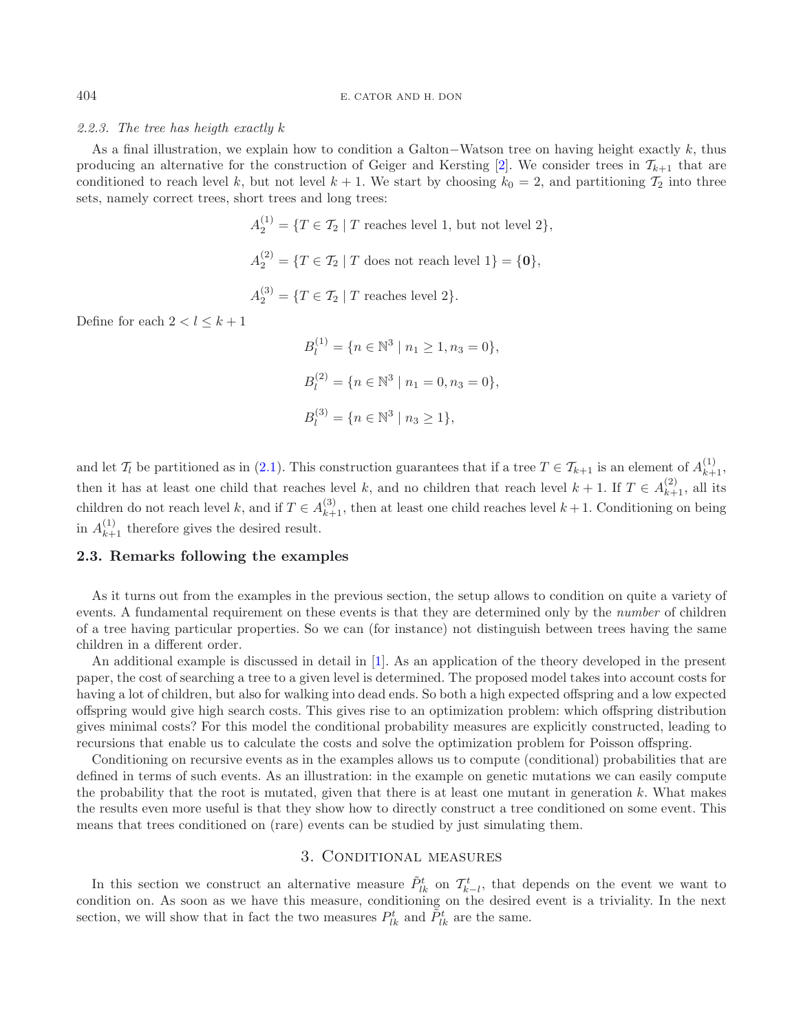#### *2.2.3. The tree has heigth exactly* k

As a final illustration, we explain how to condition a Galton–Watson tree on having height exactly k, thus producing an alternative for the construction of Geiger and Kersting [\[2\]](#page-16-1). We consider trees in  $\mathcal{T}_{k+1}$  that are conditioned to reach level k, but not level  $k + 1$ . We start by choosing  $k_0 = 2$ , and partitioning  $\mathcal{T}_2$  into three sets, namely correct trees, short trees and long trees:

$$
A_2^{(1)} = \{T \in \mathcal{T}_2 \mid T \text{ reaches level 1, but not level 2}\},
$$
  

$$
A_2^{(2)} = \{T \in \mathcal{T}_2 \mid T \text{ does not reach level 1}\} = \{\mathbf{0}\},
$$
  

$$
A_2^{(3)} = \{T \in \mathcal{T}_2 \mid T \text{ reaches level 2}\}.
$$

Define for each  $2 < l \leq k + 1$ 

$$
B_l^{(1)} = \{ n \in \mathbb{N}^3 \mid n_1 \ge 1, n_3 = 0 \},
$$
  
\n
$$
B_l^{(2)} = \{ n \in \mathbb{N}^3 \mid n_1 = 0, n_3 = 0 \},
$$
  
\n
$$
B_l^{(3)} = \{ n \in \mathbb{N}^3 \mid n_3 \ge 1 \},
$$

and let  $\mathcal{T}_l$  be partitioned as in [\(2.1\)](#page-2-1). This construction guarantees that if a tree  $T \in \mathcal{T}_{k+1}$  is an element of  $A_{k+1}^{(1)}$ , then it has at least one child that reaches level k, and no children that reach level  $k + 1$ . If  $T \in A_{k+1}^{(2)}$ , all its children do not reach level k, and if  $T \in A_{k+1}^{(3)}$ , then at least one child reaches level  $k+1$ . Conditioning on being in  $A_{k+1}^{(1)}$  therefore gives the desired result.

#### **2.3. Remarks following the examples**

As it turns out from the examples in the previous section, the setup allows to condition on quite a variety of events. A fundamental requirement on these events is that they are determined only by the *number* of children of a tree having particular properties. So we can (for instance) not distinguish between trees having the same children in a different order.

An additional example is discussed in detail in [\[1](#page-16-4)]. As an application of the theory developed in the present paper, the cost of searching a tree to a given level is determined. The proposed model takes into account costs for having a lot of children, but also for walking into dead ends. So both a high expected offspring and a low expected offspring would give high search costs. This gives rise to an optimization problem: which offspring distribution gives minimal costs? For this model the conditional probability measures are explicitly constructed, leading to recursions that enable us to calculate the costs and solve the optimization problem for Poisson offspring.

Conditioning on recursive events as in the examples allows us to compute (conditional) probabilities that are defined in terms of such events. As an illustration: in the example on genetic mutations we can easily compute the probability that the root is mutated, given that there is at least one mutant in generation  $k$ . What makes the results even more useful is that they show how to directly construct a tree conditioned on some event. This means that trees conditioned on (rare) events can be studied by just simulating them.

## 3. Conditional measures

<span id="page-4-0"></span>In this section we construct an alternative measure  $\tilde{P}_{lk}^t$  on  $\mathcal{T}_{k-l}^t$ , that depends on the event we want to condition on. As soon as we have this measure, conditioning on the desired event is a triviality. In the next section, we will show that in fact the two measures  $P_{lk}^t$  and  $\tilde{P}_{lk}^t$  are the same.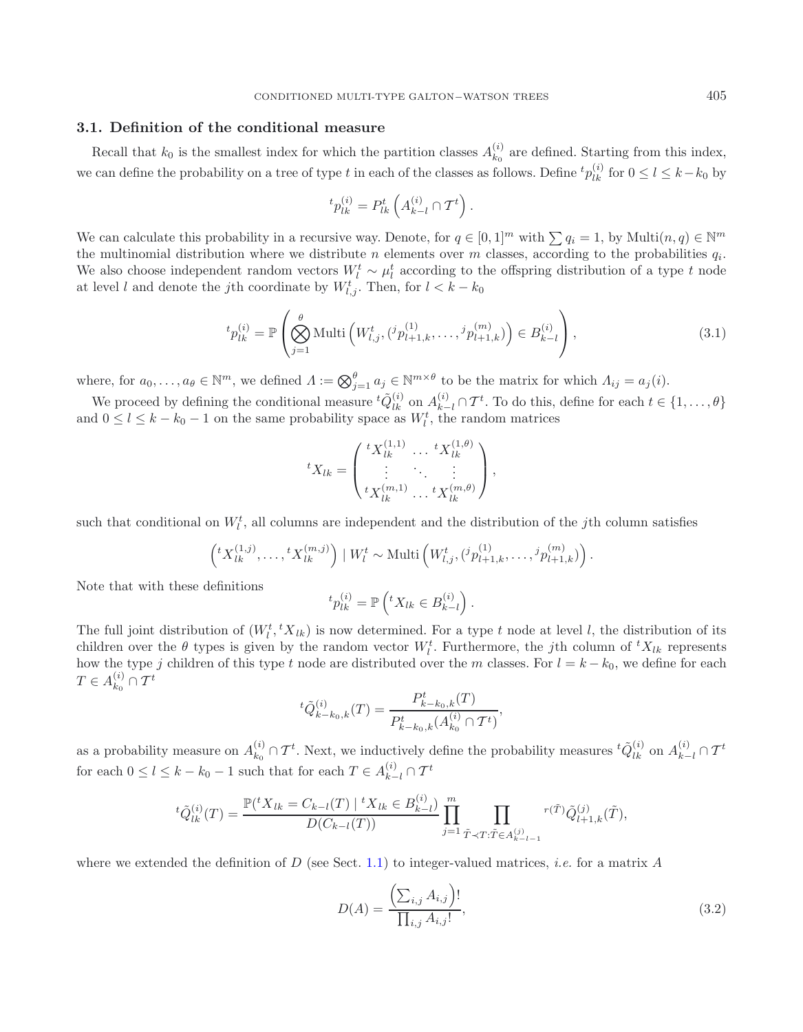#### **3.1. Definition of the conditional measure**

Recall that  $k_0$  is the smallest index for which the partition classes  $A_{k_0}^{(i)}$  are defined. Starting from this index, we can define the probability on a tree of type t in each of the classes as follows. Define  ${}^tp_{lk}^{(i)}$  for  $0 \le l \le k-k_0$  by

$$
{}^{t}p_{lk}^{(i)} = P_{lk}^{t}\left(A_{k-l}^{(i)}\cap T^{t}\right).
$$

We can calculate this probability in a recursive way. Denote, for  $q \in [0,1]^m$  with  $\sum q_i = 1$ , by Multi $(n, q) \in \mathbb{N}^m$ the multinomial distribution where we distribute n elements over m classes, according to the probabilities  $q_i$ . We also choose independent random vectors  $W_l^t \sim \mu_l^t$  according to the offspring distribution of a type t node at level l and denote the j<sup>th</sup> coordinate by  $W_{l,j}^t$ . Then, for  $l < k - k_0$ 

$$
{}^{t}p_{lk}^{(i)} = \mathbb{P}\left(\bigotimes_{j=1}^{\theta} \text{Multi}\left(W_{l,j}^{t}, ({}^{j}p_{l+1,k}^{(1)}, \ldots, {}^{j}p_{l+1,k}^{(m)})\right) \in B_{k-l}^{(i)}\right),\tag{3.1}
$$

where, for  $a_0, \ldots, a_\theta \in \mathbb{N}^m$ , we defined  $\Lambda := \bigotimes_{j=1}^\theta a_j \in \mathbb{N}^{m \times \theta}$  to be the matrix for which  $\Lambda_{ij} = a_j(i)$ .

We proceed by defining the conditional measure  ${}^t\tilde{Q}_{lk}^{(i)}$  on  $A_{k-l}^{(i)} \cap T^t$ . To do this, define for each  $t \in \{1, \ldots, \theta\}$ and  $0 \leq l \leq k - k_0 - 1$  on the same probability space as  $W_l^t$ , the random matrices

$$
{}^{t}X_{lk} = \begin{pmatrix} {}^{t}X_{lk}^{(1,1)} & \dots & {}^{t}X_{lk}^{(1,\theta)} \\ \vdots & \ddots & \vdots \\ {}^{t}X_{lk}^{(m,1)} & \dots & {}^{t}X_{lk}^{(m,\theta)} \end{pmatrix},
$$

such that conditional on  $W_l^t$ , all columns are independent and the distribution of the jth column satisfies

$$
\left({}^tX_{lk}^{(1,j)},\ldots,{}^tX_{lk}^{(m,j)}\right) | W_l^t \sim \text{Multi}\left(W_{l,j}^t, ({}^jp_{l+1,k}^{(1)},\ldots,{}^jp_{l+1,k}^{(m)})\right).
$$

Note that with these definitions

$$
{}^{t}p_{lk}^{(i)} = \mathbb{P}\left({}^{t}X_{lk} \in B_{k-l}^{(i)}\right).
$$

The full joint distribution of  $(W_l^t, {}^t X_{lk})$  is now determined. For a type t node at level l, the distribution of its children over the  $\theta$  types is given by the random vector  $W_l^t$ . Furthermore, the jth column of  ${}^t X_{lk}$  represents how the type j children of this type t node are distributed over the m classes. For  $l = k - k_0$ , we define for each  $T\in A^{(i)}_{k_0}\cap \mathcal{T}^t$ 

$$
{}^{t}\tilde{Q}_{k-k_{0},k}^{(i)}(T) = \frac{P_{k-k_{0},k}^{t}(T)}{P_{k-k_{0},k}^{t}(A_{k_{0}}^{(i)} \cap \mathcal{T}^{t})},
$$

as a probability measure on  $A_{k_0}^{(i)} \cap T^t$ . Next, we inductively define the probability measures  ${}^t\tilde{Q}_{lk}^{(i)}$  on  $A_{k-l}^{(i)} \cap T^t$ for each  $0 \leq l \leq k - k_0 - 1$  such that for each  $T \in A_{k-l}^{(i)} \cap \mathcal{T}^t$ 

$$
{}^{t}\tilde{Q}_{lk}^{(i)}(T) = \frac{\mathbb{P}({}^{t}X_{lk} = C_{k-l}(T) \mid {}^{t}X_{lk} \in B_{k-l}^{(i)})}{D(C_{k-l}(T))} \prod_{j=1}^{m} \prod_{\tilde{T} \prec T : \tilde{T} \in A_{k-l-1}^{(j)}} {}^{r(\tilde{T})}\tilde{Q}_{l+1,k}^{(j)}(\tilde{T}),
$$

where we extended the definition of D (see Sect. [1.1\)](#page-1-1) to integer-valued matrices, *i.e.* for a matrix A

$$
D(A) = \frac{\left(\sum_{i,j} A_{i,j}\right)!}{\prod_{i,j} A_{i,j}!},\tag{3.2}
$$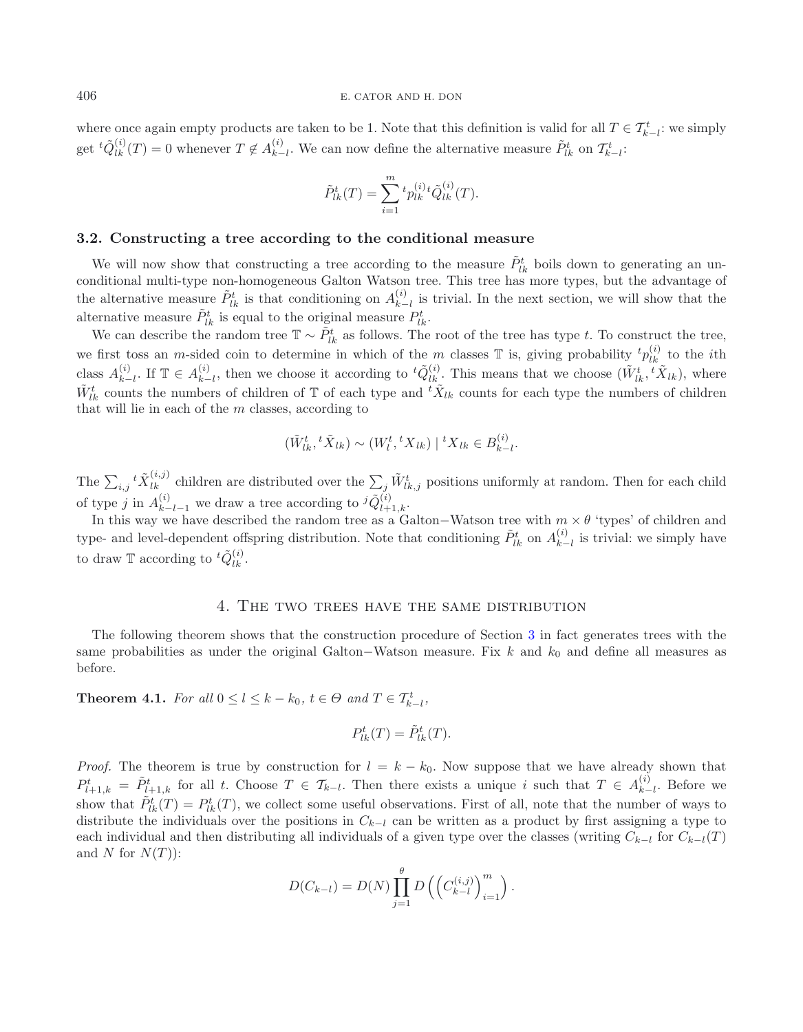where once again empty products are taken to be 1. Note that this definition is valid for all  $T \in \mathcal{T}_{k-l}^t$ : we simply get  ${}^t\tilde{Q}_{lk}^{(i)}(T) = 0$  whenever  $T \notin A_{k-l}^{(i)}$ . We can now define the alternative measure  $\tilde{P}_{lk}^t$  on  $\mathcal{T}_{k-l}^t$ :

$$
\tilde{P}_{lk}^t(T) = \sum_{i=1}^m {}^t p_{lk}^{(i)} {}^t \tilde{Q}_{lk}^{(i)}(T).
$$

#### **3.2. Constructing a tree according to the conditional measure**

We will now show that constructing a tree according to the measure  $\tilde{P}^t_{lk}$  boils down to generating an unconditional multi-type non-homogeneous Galton Watson tree. This tree has more types, but the advantage of the alternative measure  $\tilde{P}_{lk}^t$  is that conditioning on  $A_{k-l}^{(i)}$  is trivial. In the next section, we will show that the alternative measure  $\tilde{P}^t_{lk}$  is equal to the original measure  $P^t_{lk}$ .

We can describe the random tree  $\mathbb{T} \sim \tilde{P}_{lk}^t$  as follows. The root of the tree has type t. To construct the tree, we first toss an *m*-sided coin to determine in which of the *m* classes  $\mathbb T$  is, giving probability  ${}^t p_{lk}^{(i)}$  to the *i*th class  $A_{k-l}^{(i)}$ . If  $\mathbb{T} \in A_{k-l}^{(i)}$ , then we choose it according to  ${}^t\tilde{Q}_{lk}^{(i)}$ . This means that we choose  $(\tilde{W}_{lk}^t, {}^t\tilde{X}_{lk})$ , where  $\tilde{W}_{lk}^t$  counts the numbers of children of  $\mathbb T$  of each type and  ${}^t\tilde{X}_{lk}$  counts for each type the numbers of children that will lie in each of the  $m$  classes, according to

$$
(\tilde{W}_{lk}^t, {}^t\tilde{X}_{lk}) \sim (W_l^t, {}^tX_{lk}) | {}^tX_{lk} \in B_{k-l}^{(i)}.
$$

The  $\sum_{i,j}{}^t \tilde{X}_{lk}^{(i,j)}$  children are distributed over the  $\sum_j \tilde{W}_{lk,j}^t$  positions uniformly at random. Then for each child of type j in  $A_{k-l-1}^{(i)}$  we draw a tree according to  ${}^{j}\tilde{Q}_{l+1,k}^{(i)}$ .<br>In this way we have described the random tree as a C

In this way we have described the random tree as a Galton–Watson tree with  $m \times \theta$  'types' of children and type- and level-dependent offspring distribution. Note that conditioning  $\tilde{P}_{lk}^t$  on  $A_{k-l}^{(i)}$  is trivial: we simply have to draw  $\mathbb T$  according to  ${}^t\tilde{Q}_{lk}^{(i)}$ .

## 4. The two trees have the same distribution

<span id="page-6-0"></span>The following theorem shows that the construction procedure of Section [3](#page-4-0) in fact generates trees with the same probabilities as under the original Galton–Watson measure. Fix k and  $k_0$  and define all measures as before.

**Theorem 4.1.** *For all*  $0 \le l \le k - k_0$ ,  $t \in \Theta$  *and*  $T \in T_{k-l}^t$ ,

$$
P_{lk}^t(T) = \tilde{P}_{lk}^t(T).
$$

*Proof.* The theorem is true by construction for  $l = k - k_0$ . Now suppose that we have already shown that  $P_{l+1,k}^t = \tilde{P}_{l+1,k}^t$  for all t. Choose  $T \in \mathcal{T}_{k-l}$ . Then there exists a unique i such that  $T \in A_{k-l}^{(i)}$ . Before we show that  $\tilde{P}_{lk}^t(T) = P_{lk}^t(T)$ , we collect some useful observations. First of all, note that the number of ways to distribute the individuals over the positions in  $C_{k-l}$  can be written as a product by first assigning a type to each individual and then distributing all individuals of a given type over the classes (writing  $C_{k-1}$  for  $C_{k-1}(T)$ and N for  $N(T)$ :

$$
D(C_{k-l}) = D(N) \prod_{j=1}^{\theta} D\left(\left(C_{k-l}^{(i,j)}\right)_{i=1}^{m}\right).
$$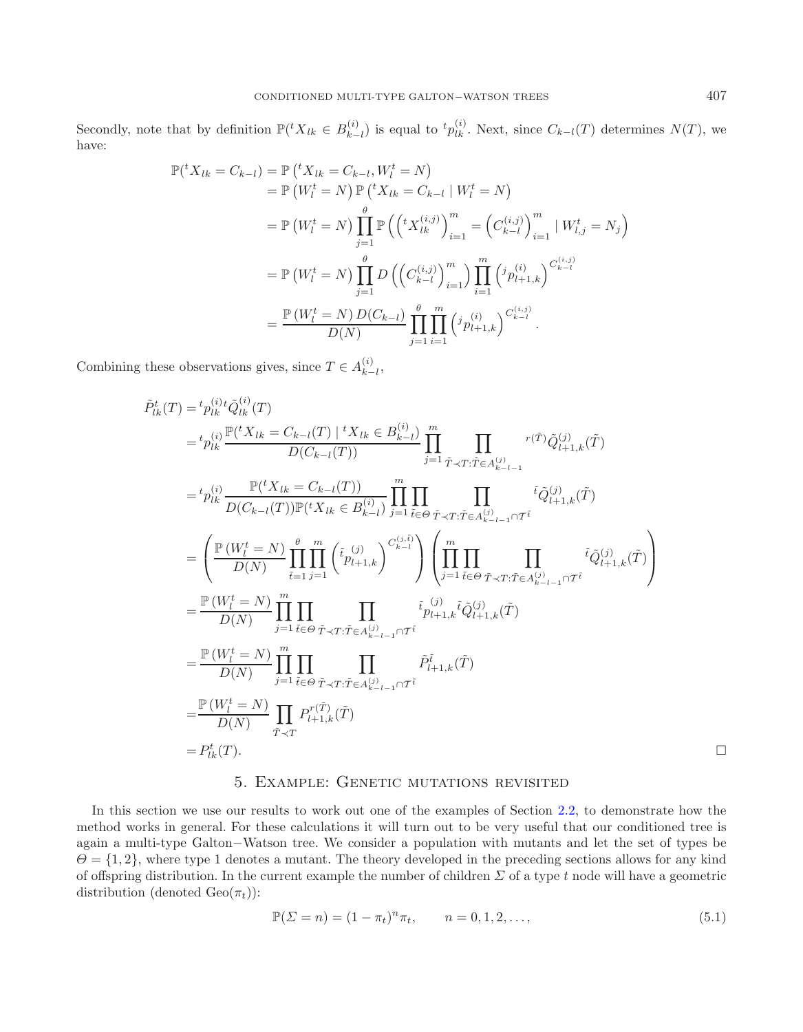Secondly, note that by definition  $\mathbb{P}(^t X_{lk} \in B_{k-l}^{(i)})$  is equal to  $^t p_{lk}^{(i)}$ . Next, since  $C_{k-l}(T)$  determines  $N(T)$ , we have:

$$
\mathbb{P}({}^{t}X_{lk} = C_{k-l}) = \mathbb{P}({}^{t}X_{lk} = C_{k-l}, W_{l}^{t} = N)
$$
  
\n
$$
= \mathbb{P}(W_{l}^{t} = N) \mathbb{P}({}^{t}X_{lk} = C_{k-l} | W_{l}^{t} = N)
$$
  
\n
$$
= \mathbb{P}(W_{l}^{t} = N) \prod_{j=1}^{\theta} \mathbb{P}({}^{t}X_{lk}^{(i,j)})_{i=1}^{m} = (C_{k-l}^{(i,j)})_{i=1}^{m} | W_{l,j}^{t} = N_{j})
$$
  
\n
$$
= \mathbb{P}(W_{l}^{t} = N) \prod_{j=1}^{\theta} D({}^{t}C_{k-l}^{(i,j)})_{i=1}^{m}) \prod_{i=1}^{m} ({}^{j}p_{l+1,k}^{(i)})^{C_{k-l}^{(i,j)}}
$$
  
\n
$$
= \frac{\mathbb{P}(W_{l}^{t} = N) D(C_{k-l})}{D(N)} \prod_{j=1}^{\theta} \prod_{i=1}^{m} ({}^{j}p_{l+1,k}^{(i)})^{C_{k-l}^{(i,j)}}
$$

Combining these observations gives, since  $T \in A_{k-l}^{(i)}$ ,

$$
\tilde{P}_{lk}^{t}(T) = {}^{t}p_{lk}^{(i)}\tilde{V}_{0lk}^{(i)}(T)
$$
\n
$$
= {}^{t}p_{lk}^{(i)}\frac{\mathbb{P}({}^{t}X_{lk} = C_{k-l}(T) \mid {}^{t}X_{lk} \in B_{k-l}^{(i)})}{D(C_{k-l}(T))} \prod_{j=1}^{m} \prod_{\tilde{T}\prec T:\tilde{T}\in A_{k-l-1}^{(j)}}{}^{r(\tilde{T})}\tilde{Q}_{l+1,k}^{(j)}(\tilde{T})
$$
\n
$$
= {}^{t}p_{lk}^{(i)} \frac{\mathbb{P}({}^{t}X_{lk} = C_{k-l}(T))}{D(C_{k-l}(T))\mathbb{P}({}^{t}X_{lk} \in B_{k-l}^{(i)})} \prod_{j=1}^{m} \prod_{\tilde{t}\in\Theta} \prod_{\tilde{T}\prec T:\tilde{T}\in A_{k-l-1}^{(j)}\cap \tilde{T}}{}^{i} \tilde{Q}_{l+1,k}^{(j)}(\tilde{T})
$$
\n
$$
= \left(\frac{\mathbb{P}(W_{l}^{t} = N)}{D(N)} \prod_{\tilde{t}=1}^{q} \prod_{j=1}^{m} {r_{l}} \left(\tilde{V}_{l+1,k}^{(j)}\right)^{C_{k-l}^{(j)}}\right) \left(\prod_{j=1}^{m} \prod_{\tilde{t}\in\Theta} \prod_{\tilde{T}\prec T:\tilde{T}\in A_{k-l-1}^{(j)}\cap \tilde{T}}{}^{i} \tilde{Q}_{l+1,k}^{(j)}(\tilde{T})\right)
$$
\n
$$
= \frac{\mathbb{P}(W_{l}^{t} = N)}{D(N)} \prod_{j=1}^{m} \prod_{\tilde{t}\in\Theta} \prod_{\tilde{T}\prec T:\tilde{T}\in A_{k-l-1}^{(j)}\cap \tilde{T}}{}^{i} \tilde{P}_{l+1,k}^{(j)}(\tilde{T})
$$
\n
$$
= \frac{\mathbb{P}(W_{l}^{t} = N)}{D(N)} \prod_{\tilde{T}=1}^{m} \prod_{\tilde{t}\in\Theta} \prod_{\tilde{T}\prec T:\tilde{T}\in A_{k-l-1}^{(j)}\cap \tilde{T}}{}^{i} \tilde{P}_{l+1,k}^{j}(\tilde
$$

## <span id="page-7-0"></span>5. Example: Genetic mutations revisited

<span id="page-7-1"></span>In this section we use our results to work out one of the examples of Section [2.2,](#page-2-0) to demonstrate how the method works in general. For these calculations it will turn out to be very useful that our conditioned tree is again a multi-type Galton−Watson tree. We consider a population with mutants and let the set of types be  $\Theta = \{1, 2\}$ , where type 1 denotes a mutant. The theory developed in the preceding sections allows for any kind of offspring distribution. In the current example the number of children  $\Sigma$  of a type t node will have a geometric distribution (denoted  $Geo(\pi_t)$ ):

$$
\mathbb{P}(\Sigma = n) = (1 - \pi_t)^n \pi_t, \qquad n = 0, 1, 2, \dots,
$$
\n(5.1)

 $\Box$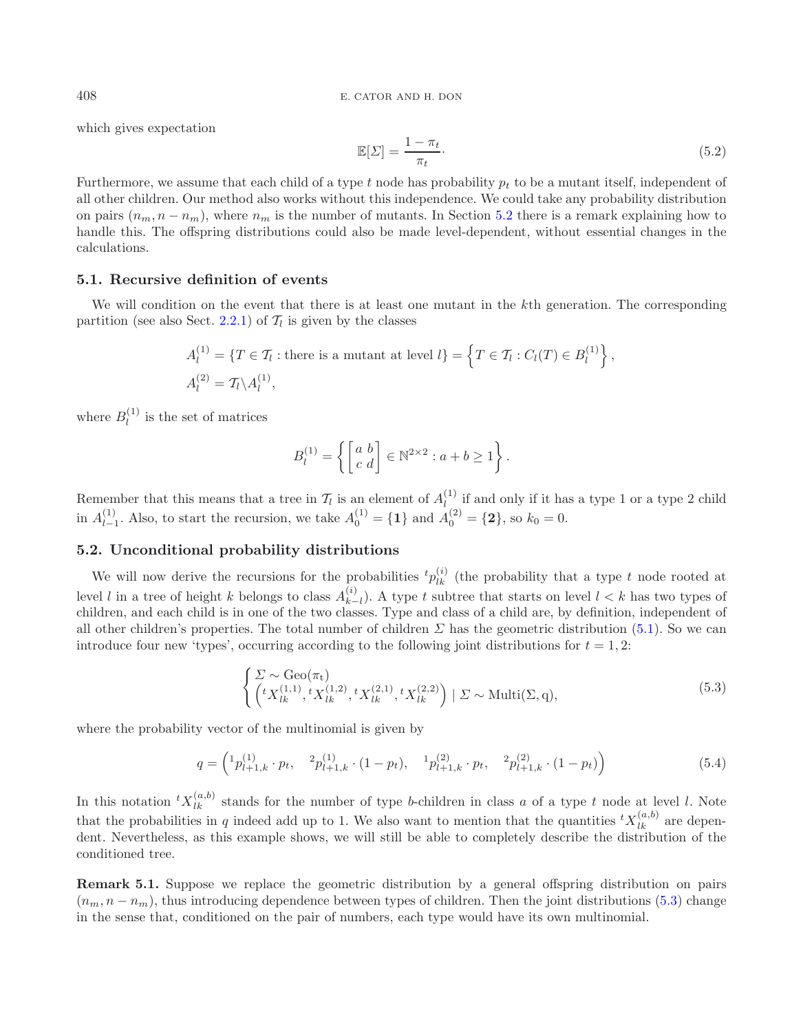<sup>408</sup> E. CATOR AND H. DON

which gives expectation

$$
\mathbb{E}[\Sigma] = \frac{1 - \pi_t}{\pi_t}.\tag{5.2}
$$

Furthermore, we assume that each child of a type t node has probability  $p_t$  to be a mutant itself, independent of all other children. Our method also works without this independence. We could take any probability distribution on pairs  $(n_m, n - n_m)$ , where  $n_m$  is the number of mutants. In Section [5.2](#page-8-0) there is a remark explaining how to handle this. The offspring distributions could also be made level-dependent, without essential changes in the calculations.

## **5.1. Recursive definition of events**

We will condition on the event that there is at least one mutant in the k<sup>th</sup> generation. The corresponding partition (see also Sect. [2.2.1\)](#page-2-2) of  $\mathcal{T}_l$  is given by the classes

$$
A_l^{(1)} = \{T \in \mathcal{T}_l : \text{there is a mutant at level } l\} = \left\{T \in \mathcal{T}_l : C_l(T) \in B_l^{(1)}\right\},\
$$
  

$$
A_l^{(2)} = \mathcal{T}_l \setminus A_l^{(1)},
$$

where  $B_l^{(1)}$  is the set of matrices

<span id="page-8-2"></span><span id="page-8-1"></span>
$$
B_l^{(1)} = \left\{ \begin{bmatrix} a & b \\ c & d \end{bmatrix} \in \mathbb{N}^{2 \times 2} : a + b \ge 1 \right\}.
$$

Remember that this means that a tree in  $\mathcal{T}_l$  is an element of  $A_l^{(1)}$  if and only if it has a type 1 or a type 2 child in  $A_{l-1}^{(1)}$ . Also, to start the recursion, we take  $A_0^{(1)} = \{1\}$  and  $A_0^{(2)} = \{2\}$ , so  $k_0 = 0$ .

#### <span id="page-8-0"></span>**5.2. Unconditional probability distributions**

We will now derive the recursions for the probabilities  ${}^t p_{lk}^{(i)}$  (the probability that a type t node rooted at level l in a tree of height k belongs to class  $A_{k-l}^{(i)}$ . A type t subtree that starts on level  $l < k$  has two types of children, and each child is in one of the two classes. Type and class of a child are, by definition, independent of all other children's properties. The total number of children  $\Sigma$  has the geometric distribution [\(5.1\)](#page-7-0). So we can introduce four new 'types', occurring according to the following joint distributions for  $t = 1, 2$ :

$$
\begin{cases}\n\Sigma \sim \text{Geo}(\pi_t) \\
\left(tX_{lk}^{(1,1)}, ^tX_{lk}^{(1,2)}, ^tX_{lk}^{(2,1)}, ^tX_{lk}^{(2,2)}\right) \mid \Sigma \sim \text{Multi}(\Sigma, \mathbf{q}),\n\end{cases} (5.3)
$$

where the probability vector of the multinomial is given by

$$
q = \begin{pmatrix} 1 p_{l+1,k}^{(1)} \cdot p_t, & ^2 p_{l+1,k}^{(1)} \cdot (1 - p_t), & ^1 p_{l+1,k}^{(2)} \cdot p_t, & ^2 p_{l+1,k}^{(2)} \cdot (1 - p_t) \end{pmatrix} \tag{5.4}
$$

In this notation  ${}^t X_{lk}^{(a,b)}$  stands for the number of type b-children in class a of a type t node at level l. Note that the probabilities in q indeed add up to 1. We also want to mention that the quantities  ${}^t X_{lk}^{(a,b)}$  are dependent. Nevertheless, as this example shows, we will still be able to completely describe the distribution of the conditioned tree.

**Remark 5.1.** Suppose we replace the geometric distribution by a general offspring distribution on pairs  $(n_m, n - n_m)$ , thus introducing dependence between types of children. Then the joint distributions [\(5.3\)](#page-8-1) change in the sense that, conditioned on the pair of numbers, each type would have its own multinomial.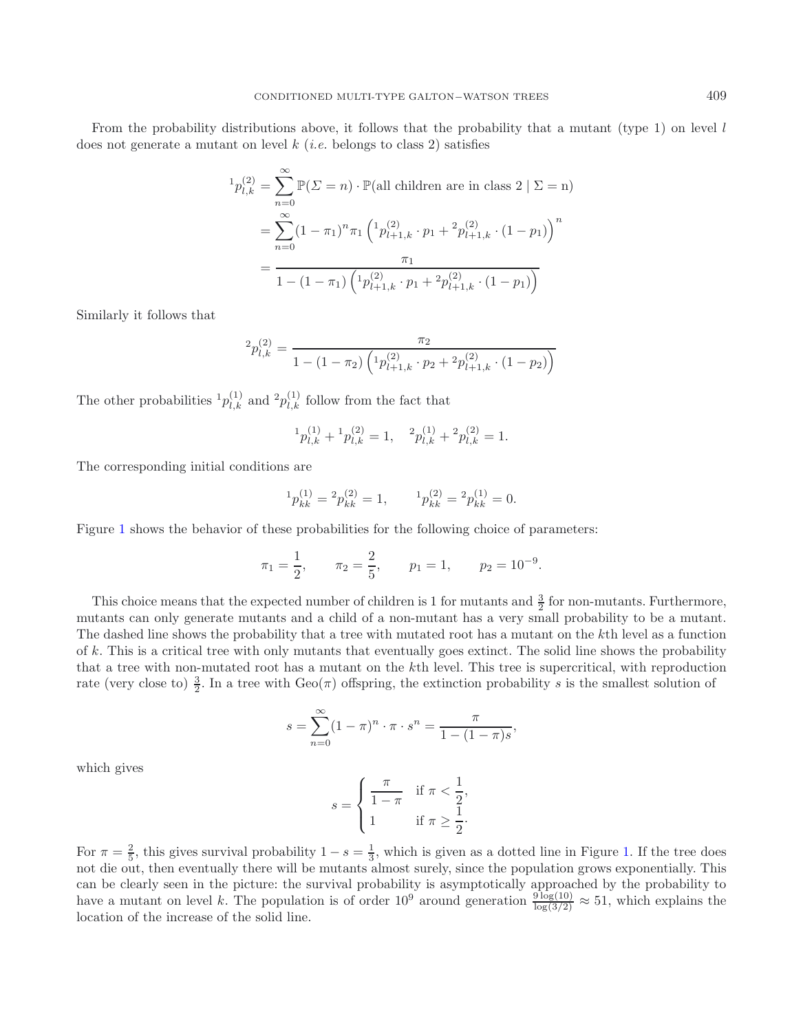From the probability distributions above, it follows that the probability that a mutant (type 1) on level  $l$ does not generate a mutant on level  $k$  (*i.e.* belongs to class 2) satisfies

$$
{}^{1}p_{l,k}^{(2)} = \sum_{n=0}^{\infty} \mathbb{P}(\Sigma = n) \cdot \mathbb{P}(\text{all children are in class } 2 \mid \Sigma = n)
$$
  
= 
$$
\sum_{n=0}^{\infty} (1 - \pi_1)^n \pi_1 \left( {}^{1}p_{l+1,k}^{(2)} \cdot p_1 + {}^{2}p_{l+1,k}^{(2)} \cdot (1 - p_1) \right)^n
$$
  
= 
$$
\frac{\pi_1}{1 - (1 - \pi_1) \left( {}^{1}p_{l+1,k}^{(2)} \cdot p_1 + {}^{2}p_{l+1,k}^{(2)} \cdot (1 - p_1) \right)}
$$

Similarly it follows that

$$
{}^{2}p_{l,k}^{(2)} = \frac{\pi_2}{1 - (1 - \pi_2) \left( {}^{1}p_{l+1,k}^{(2)} \cdot p_2 + 2p_{l+1,k}^{(2)} \cdot (1 - p_2) \right)}
$$

The other probabilities  ${}^{1}p_{l,k}^{(1)}$  and  ${}^{2}p_{l,k}^{(1)}$  follow from the fact that

$$
{}^{1}p_{l,k}^{(1)} + {}^{1}p_{l,k}^{(2)} = 1, \quad {}^{2}p_{l,k}^{(1)} + {}^{2}p_{l,k}^{(2)} = 1.
$$

The corresponding initial conditions are

$$
{}^{1}p_{kk}^{(1)} = {}^{2}p_{kk}^{(2)} = 1, \qquad {}^{1}p_{kk}^{(2)} = {}^{2}p_{kk}^{(1)} = 0.
$$

Figure [1](#page-10-0) shows the behavior of these probabilities for the following choice of parameters:

$$
\pi_1 = \frac{1}{2}
$$
,  $\pi_2 = \frac{2}{5}$ ,  $p_1 = 1$ ,  $p_2 = 10^{-9}$ .

This choice means that the expected number of children is 1 for mutants and  $\frac{3}{2}$  for non-mutants. Furthermore, it and some property and a child of a non-mutant has a very small probability to be a mutant mutants can only generate mutants and a child of a non-mutant has a very small probability to be a mutant. The dashed line shows the probability that a tree with mutated root has a mutant on the kth level as a function of  $k$ . This is a critical tree with only mutants that eventually goes extinct. The solid line shows the probability that a tree with non-mutated root has a mutant on the kth level. This tree is supercritical, with reproduction rate (very close to)  $\frac{3}{2}$ . In a tree with  $Geo(\pi)$  offspring, the extinction probability s is the smallest solution of

$$
s = \sum_{n=0}^{\infty} (1 - \pi)^n \cdot \pi \cdot s^n = \frac{\pi}{1 - (1 - \pi)s},
$$

which gives

$$
s = \begin{cases} \frac{\pi}{1 - \pi} & \text{if } \pi < \frac{1}{2}, \\ 1 & \text{if } \pi \ge \frac{1}{2}. \end{cases}
$$

For  $\pi = \frac{2}{5}$ , this gives survival probability  $1 - s = \frac{1}{3}$ , which is given as a dotted line in Figure [1.](#page-10-0) If the tree does not die out, then eventually there will be mutants almost surely, since the population grows exponentially. This can be clearly seen in the picture: the survival probability is asymptotically approached by the probability to have a mutant on level k. The population is of order  $10^9$  around generation  $\frac{9 \log(10)}{\log(3/2)} \approx 51$ , which explains the location of the increase of the solid line.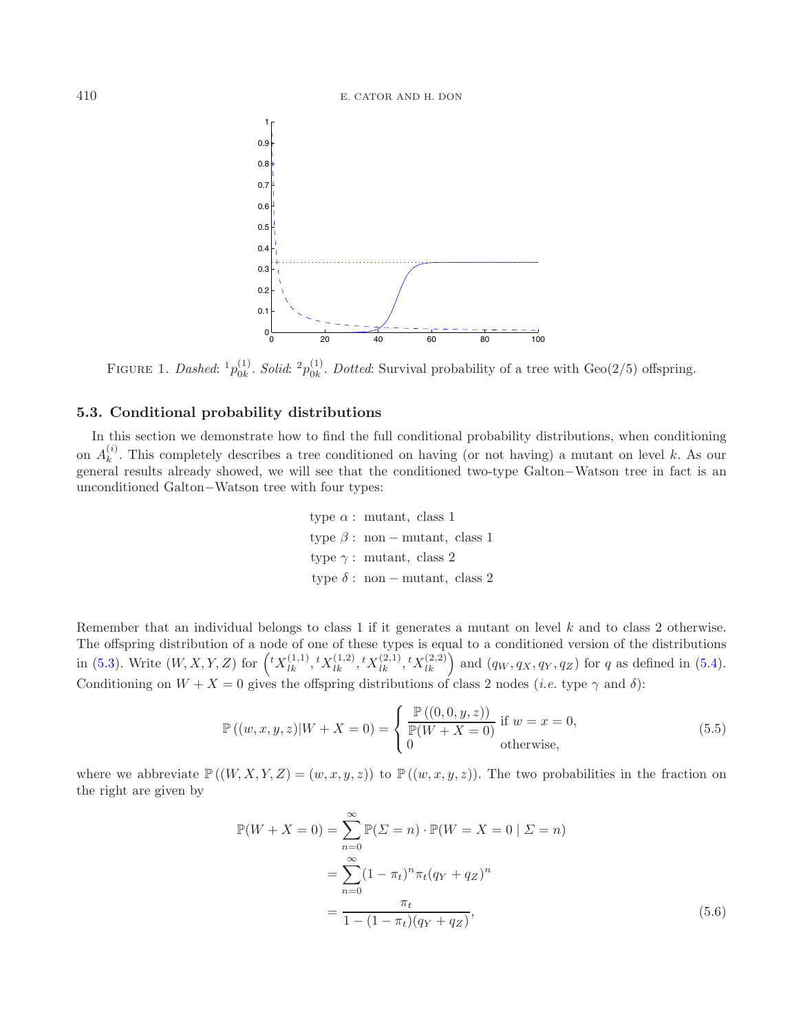#### <span id="page-10-0"></span><sup>410</sup> E. CATOR AND H. DON



FIGURE 1. *Dashed*:  ${}^{1}p_{0k}^{(1)}$ . *Solid*:  ${}^{2}p_{0k}^{(1)}$ . *Dotted*: Survival probability of a tree with Geo(2/5) offspring.

#### **5.3. Conditional probability distributions**

In this section we demonstrate how to find the full conditional probability distributions, when conditioning on  $A_k^{(i)}$ . This completely describes a tree conditioned on having (or not having) a mutant on level k. As our general results already showed, we will see that the conditioned two-type Galton−Watson tree in fact is an unconditioned Galton−Watson tree with four types:

> type  $\alpha$ : mutant, class 1 type  $\beta$ : non – mutant, class 1 type  $\gamma$ : mutant, class 2 type  $\delta$ : non – mutant, class 2

Remember that an individual belongs to class 1 if it generates a mutant on level k and to class 2 otherwise. The offspring distribution of a node of one of these types is equal to a conditioned version of the distributions in [\(5.3\)](#page-8-1). Write  $(W, X, Y, Z)$  for  $\left( {}^{t}X_{lk}^{(1,1)}, {}^{t}X_{lk}^{(1,2)}, {}^{t}X_{lk}^{(2,1)}, {}^{t}X_{lk}^{(2,2)} \right)$  and  $(q_W, q_X, q_Y, q_Z)$  for q as defined in [\(5.4\)](#page-8-2). Conditioning on  $W + X = 0$  gives the offspring distributions of class 2 nodes (*i.e.* type  $\gamma$  and  $\delta$ ):

$$
\mathbb{P}((w,x,y,z)|W+X=0) = \begin{cases} \frac{\mathbb{P}((0,0,y,z))}{\mathbb{P}(W+X=0)} & \text{if } w=x=0, \\ 0 & \text{otherwise,} \end{cases}
$$
(5.5)

<span id="page-10-1"></span>where we abbreviate  $\mathbb{P}((W, X, Y, Z)=(w, x, y, z))$  to  $\mathbb{P}((w, x, y, z))$ . The two probabilities in the fraction on the right are given by

$$
\mathbb{P}(W + X = 0) = \sum_{n=0}^{\infty} \mathbb{P}(\Sigma = n) \cdot \mathbb{P}(W = X = 0 | \Sigma = n)
$$

$$
= \sum_{n=0}^{\infty} (1 - \pi_t)^n \pi_t (q_Y + q_Z)^n
$$

$$
= \frac{\pi_t}{1 - (1 - \pi_t)(q_Y + q_Z)},
$$
(5.6)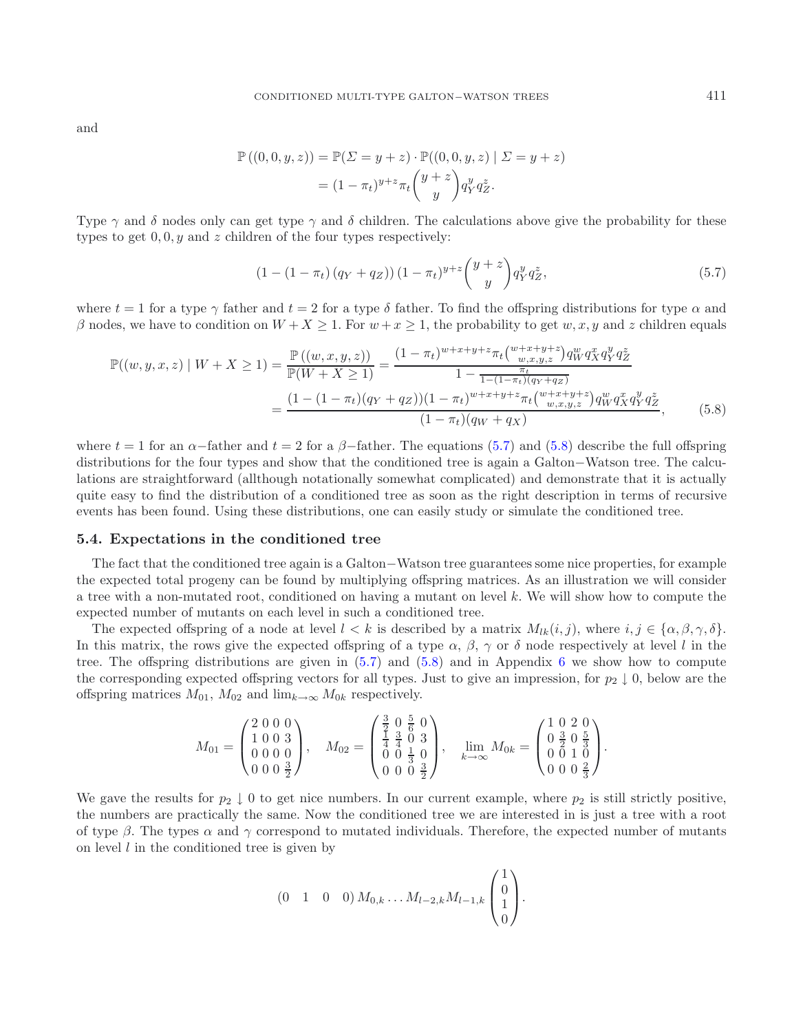and

<span id="page-11-0"></span>
$$
\mathbb{P}((0,0,y,z)) = \mathbb{P}(\Sigma = y + z) \cdot \mathbb{P}((0,0,y,z) | \Sigma = y + z) \n= (1 - \pi_t)^{y + z} \pi_t \binom{y + z}{y} q_Y^y q_Z^z.
$$

Type  $\gamma$  and  $\delta$  nodes only can get type  $\gamma$  and  $\delta$  children. The calculations above give the probability for these types to get  $0, 0, y$  and z children of the four types respectively:

<span id="page-11-1"></span>
$$
(1 - (1 - \pi_t) (q_Y + q_Z)) (1 - \pi_t)^{y+z} {y + z \choose y} q_Y^y q_Z^z, \tag{5.7}
$$

where  $t = 1$  for a type  $\gamma$  father and  $t = 2$  for a type  $\delta$  father. To find the offspring distributions for type  $\alpha$  and β nodes, we have to condition on  $W + X \ge 1$ . For  $w + x \ge 1$ , the probability to get  $w, x, y$  and z children equals

$$
\mathbb{P}((w,y,x,z) \mid W + X \ge 1) = \frac{\mathbb{P}((w,x,y,z))}{\mathbb{P}(W + X \ge 1)} = \frac{(1 - \pi_t)^{w + x + y + z} \pi_t \binom{w + x + y + z}{w, x, y, z} q_W^w q_X^x q_Y^y q_Z^z}{1 - \frac{\pi_t}{1 - (1 - \pi_t)(q_Y + q_Z)}} = \frac{(1 - (1 - \pi_t)(q_Y + q_Z))(1 - \pi_t)^{w + x + y + z} \pi_t \binom{w + x + y + z}{w, x, y, z} q_W^w q_X^x q_Y^y q_Z^z}{(1 - \pi_t)(q_W + q_X)},
$$
(5.8)

where  $t = 1$  for an  $\alpha$ -father and  $t = 2$  for a  $\beta$ -father. The equations [\(5.7\)](#page-11-0) and [\(5.8\)](#page-11-1) describe the full offspring distributions for the four types and show that the conditioned tree is again a Galton−Watson tree. The calculations are straightforward (allthough notationally somewhat complicated) and demonstrate that it is actually quite easy to find the distribution of a conditioned tree as soon as the right description in terms of recursive events has been found. Using these distributions, one can easily study or simulate the conditioned tree.

#### **5.4. Expectations in the conditioned tree**

The fact that the conditioned tree again is a Galton−Watson tree guarantees some nice properties, for example the expected total progeny can be found by multiplying offspring matrices. As an illustration we will consider a tree with a non-mutated root, conditioned on having a mutant on level k. We will show how to compute the expected number of mutants on each level in such a conditioned tree.

The expected offspring of a node at level  $l < k$  is described by a matrix  $M_{lk}(i, j)$ , where  $i, j \in {\alpha, \beta, \gamma, \delta}.$ In this matrix, the rows give the expected offspring of a type  $\alpha$ ,  $\beta$ ,  $\gamma$  or  $\delta$  node respectively at level l in the tree. The offspring distributions are given in  $(5.7)$  and  $(5.8)$  and in Appendix [6](#page-14-0) we show how to compute the corresponding expected offspring vectors for all types. Just to give an impression, for  $p_2 \downarrow 0$ , below are the offspring matrices  $M_{01}$ ,  $M_{02}$  and  $\lim_{k\to\infty} M_{0k}$  respectively.

$$
M_{01} = \begin{pmatrix} 2 & 0 & 0 & 0 \\ 1 & 0 & 0 & 3 \\ 0 & 0 & 0 & 0 \\ 0 & 0 & 0 & \frac{3}{2} \end{pmatrix}, \quad M_{02} = \begin{pmatrix} \frac{3}{2} & 0 & \frac{5}{6} & 0 \\ \frac{1}{4} & \frac{3}{4} & 0 & 3 \\ 0 & 0 & \frac{1}{3} & 0 \\ 0 & 0 & 0 & \frac{3}{2} \end{pmatrix}, \quad \lim_{k \to \infty} M_{0k} = \begin{pmatrix} 1 & 0 & 2 & 0 \\ 0 & \frac{3}{2} & 0 & \frac{5}{3} \\ 0 & 0 & 1 & 0 \\ 0 & 0 & 0 & \frac{2}{3} \end{pmatrix}.
$$

We gave the results for  $p_2 \downarrow 0$  to get nice numbers. In our current example, where  $p_2$  is still strictly positive, the numbers are practically the same. Now the conditioned tree we are interested in is just a tree with a root of type  $\beta$ . The types  $\alpha$  and  $\gamma$  correspond to mutated individuals. Therefore, the expected number of mutants on level  $l$  in the conditioned tree is given by

$$
(0 \quad 1 \quad 0 \quad 0) M_{0,k} \dots M_{l-2,k} M_{l-1,k} \begin{pmatrix} 1 \\ 0 \\ 1 \\ 0 \end{pmatrix}.
$$

11411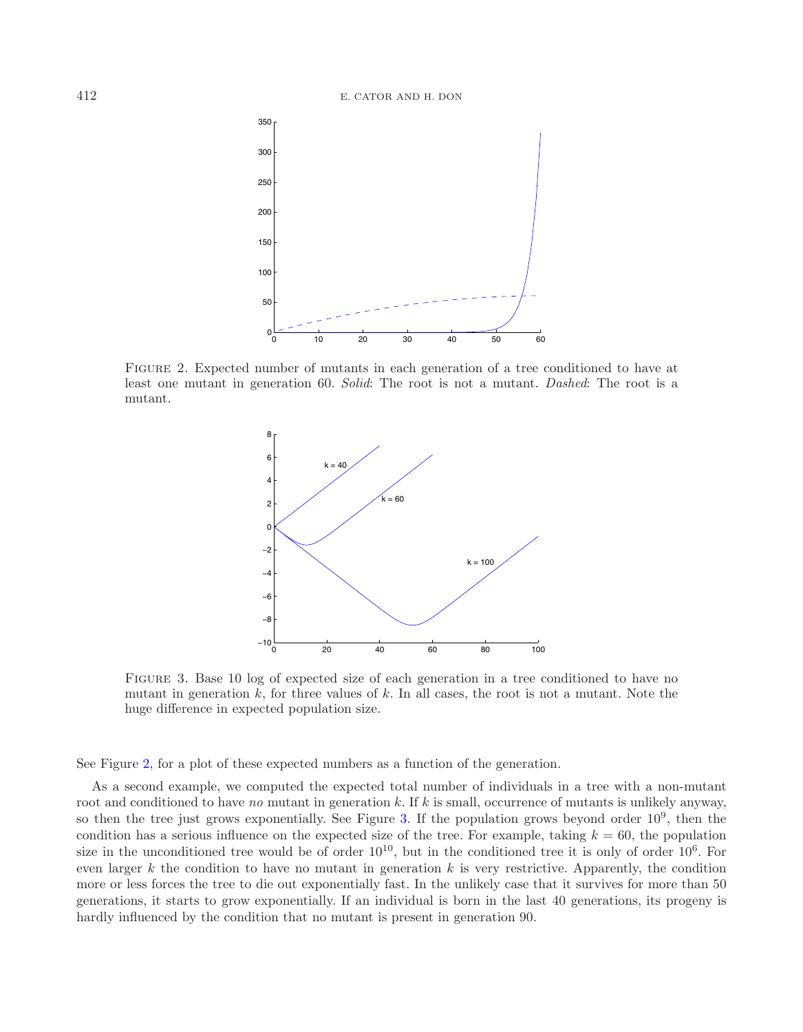<span id="page-12-0"></span>

<span id="page-12-1"></span>Figure 2. Expected number of mutants in each generation of a tree conditioned to have at least one mutant in generation 60. *Solid*: The root is not a mutant. *Dashed*: The root is a mutant.



FIGURE 3. Base 10 log of expected size of each generation in a tree conditioned to have no mutant in generation  $k$ , for three values of  $k$ . In all cases, the root is not a mutant. Note the huge difference in expected population size.

See Figure [2,](#page-12-0) for a plot of these expected numbers as a function of the generation.

As a second example, we computed the expected total number of individuals in a tree with a non-mutant root and conditioned to have *no* mutant in generation k. If k is small, occurrence of mutants is unlikely anyway, so then the tree just grows exponentially. See Figure [3.](#page-12-1) If the population grows beyond order  $10^9$ , then the condition has a serious influence on the expected size of the tree. For example, taking  $k = 60$ , the population size in the unconditioned tree would be of order  $10^{10}$ , but in the conditioned tree it is only of order  $10^6$ . For even larger  $k$  the condition to have no mutant in generation  $k$  is very restrictive. Apparently, the condition more or less forces the tree to die out exponentially fast. In the unlikely case that it survives for more than 50 generations, it starts to grow exponentially. If an individual is born in the last 40 generations, its progeny is hardly influenced by the condition that no mutant is present in generation 90.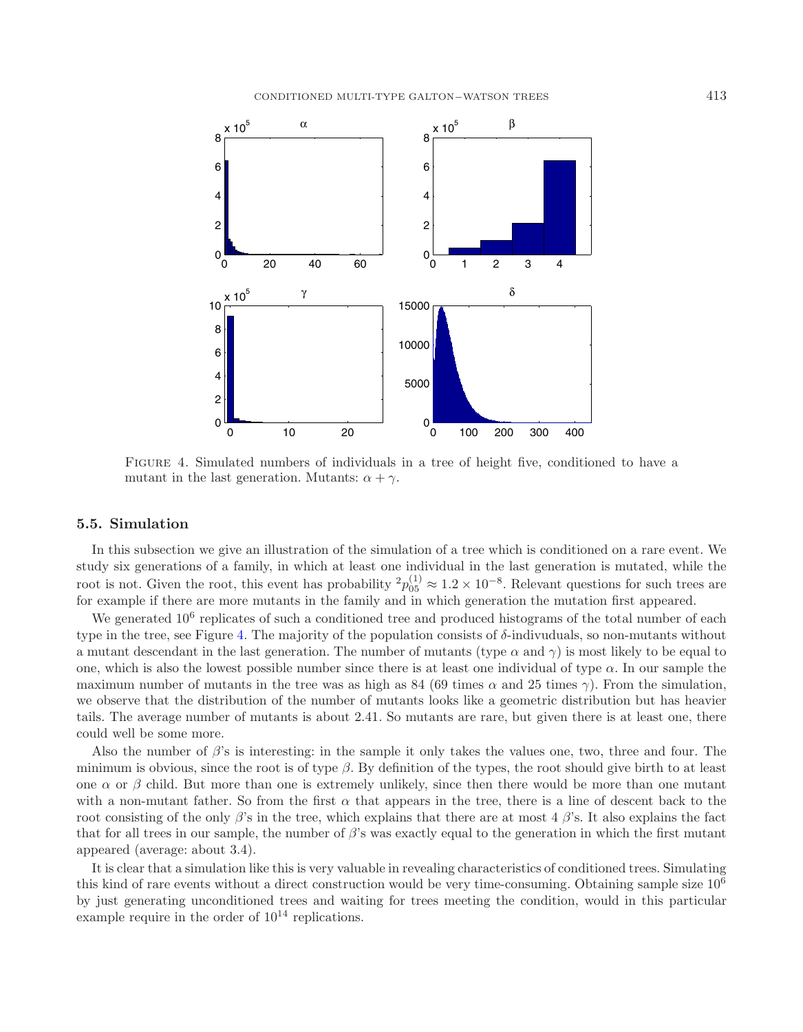<span id="page-13-0"></span>

Figure 4. Simulated numbers of individuals in a tree of height five, conditioned to have a mutant in the last generation. Mutants:  $\alpha + \gamma$ .

#### **5.5. Simulation**

In this subsection we give an illustration of the simulation of a tree which is conditioned on a rare event. We study six generations of a family, in which at least one individual in the last generation is mutated, while the root is not. Given the root, this event has probability  ${}^2p_{05}^{(1)} \approx 1.2 \times 10^{-8}$ . Relevant questions for such trees are<br>for example if there are mean mutants in the family and in which generation the mutation first ap for example if there are more mutants in the family and in which generation the mutation first appeared.

We generated  $10^6$  replicates of such a conditioned tree and produced histograms of the total number of each type in the tree, see Figure [4.](#page-13-0) The majority of the population consists of δ-indivuduals, so non-mutants without a mutant descendant in the last generation. The number of mutants (type  $\alpha$  and  $\gamma$ ) is most likely to be equal to one, which is also the lowest possible number since there is at least one individual of type  $\alpha$ . In our sample the maximum number of mutants in the tree was as high as 84 (69 times  $\alpha$  and 25 times  $\gamma$ ). From the simulation, we observe that the distribution of the number of mutants looks like a geometric distribution but has heavier tails. The average number of mutants is about 2.41. So mutants are rare, but given there is at least one, there could well be some more.

Also the number of  $\beta$ 's is interesting: in the sample it only takes the values one, two, three and four. The minimum is obvious, since the root is of type  $\beta$ . By definition of the types, the root should give birth to at least one  $\alpha$  or  $\beta$  child. But more than one is extremely unlikely, since then there would be more than one mutant with a non-mutant father. So from the first  $\alpha$  that appears in the tree, there is a line of descent back to the root consisting of the only  $\beta$ 's in the tree, which explains that there are at most 4  $\beta$ 's. It also explains the fact that for all trees in our sample, the number of  $\beta$ 's was exactly equal to the generation in which the first mutant appeared (average: about 3.4).

It is clear that a simulation like this is very valuable in revealing characteristics of conditioned trees. Simulating this kind of rare events without a direct construction would be very time-consuming. Obtaining sample size 106 by just generating unconditioned trees and waiting for trees meeting the condition, would in this particular example require in the order of  $10^{14}$  replications.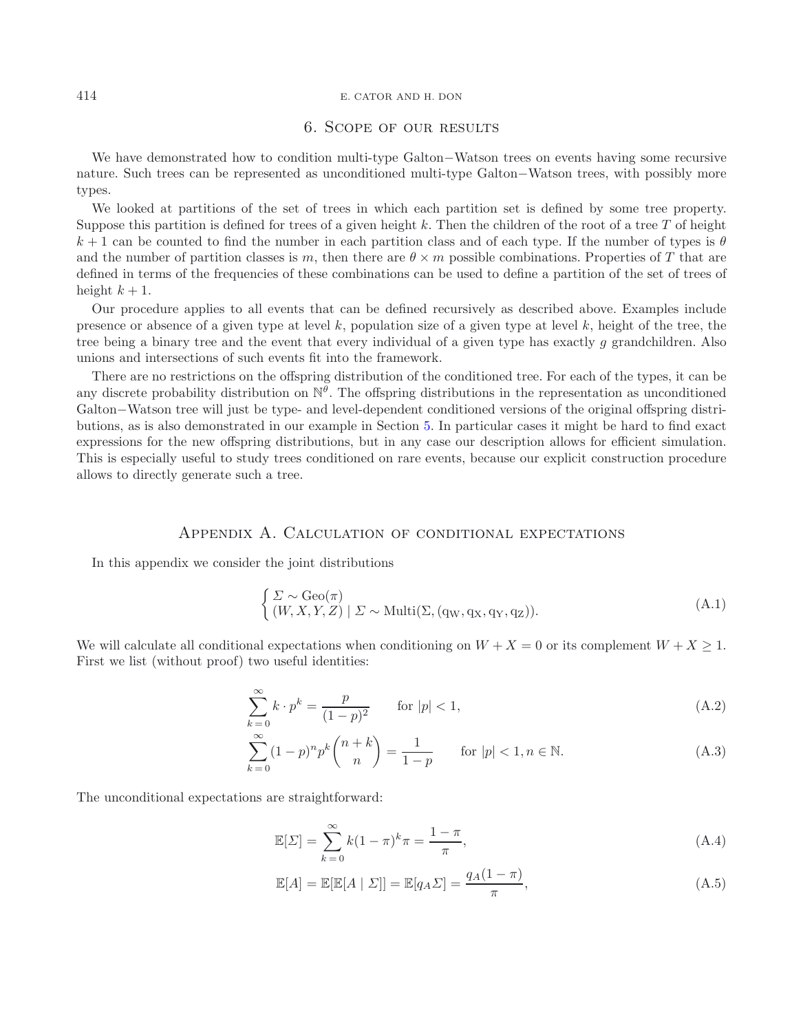#### <sup>414</sup> E. CATOR AND H. DON

## 6. Scope of our results

We have demonstrated how to condition multi-type Galton−Watson trees on events having some recursive nature. Such trees can be represented as unconditioned multi-type Galton−Watson trees, with possibly more types.

We looked at partitions of the set of trees in which each partition set is defined by some tree property. Suppose this partition is defined for trees of a given height k. Then the children of the root of a tree  $T$  of height  $k+1$  can be counted to find the number in each partition class and of each type. If the number of types is  $\theta$ and the number of partition classes is m, then there are  $\theta \times m$  possible combinations. Properties of T that are defined in terms of the frequencies of these combinations can be used to define a partition of the set of trees of height  $k+1$ .

Our procedure applies to all events that can be defined recursively as described above. Examples include presence or absence of a given type at level k, population size of a given type at level k, height of the tree, the tree being a binary tree and the event that every individual of a given type has exactly g grandchildren. Also unions and intersections of such events fit into the framework.

There are no restrictions on the offspring distribution of the conditioned tree. For each of the types, it can be any discrete probability distribution on  $\mathbb{N}^{\theta}$ . The offspring distributions in the representation as unconditioned Galton−Watson tree will just be type- and level-dependent conditioned versions of the original offspring distributions, as is also demonstrated in our example in Section [5.](#page-7-1) In particular cases it might be hard to find exact expressions for the new offspring distributions, but in any case our description allows for efficient simulation. This is especially useful to study trees conditioned on rare events, because our explicit construction procedure allows to directly generate such a tree.

## Appendix A. Calculation of conditional expectations

<span id="page-14-0"></span>In this appendix we consider the joint distributions

$$
\begin{cases}\n\Sigma \sim \text{Geo}(\pi) \\
(W, X, Y, Z) \mid \Sigma \sim \text{Multi}(\Sigma, (\text{qw}, \text{qx}, \text{qy}, \text{qz})).\n\end{cases} (A.1)
$$

<span id="page-14-1"></span>We will calculate all conditional expectations when conditioning on  $W + X = 0$  or its complement  $W + X \ge 1$ . First we list (without proof) two useful identities:

$$
\sum_{k=0}^{\infty} k \cdot p^k = \frac{p}{(1-p)^2} \qquad \text{for } |p| < 1,\tag{A.2}
$$

$$
\sum_{k=0}^{\infty} (1-p)^n p^k \binom{n+k}{n} = \frac{1}{1-p} \qquad \text{for } |p| < 1, n \in \mathbb{N}.\tag{A.3}
$$

The unconditional expectations are straightforward:

$$
\mathbb{E}[\Sigma] = \sum_{k=0}^{\infty} k(1-\pi)^k \pi = \frac{1-\pi}{\pi},
$$
\n(A.4)

$$
\mathbb{E}[A] = \mathbb{E}[\mathbb{E}[A \mid \Sigma]] = \mathbb{E}[q_A \Sigma] = \frac{q_A(1-\pi)}{\pi},\tag{A.5}
$$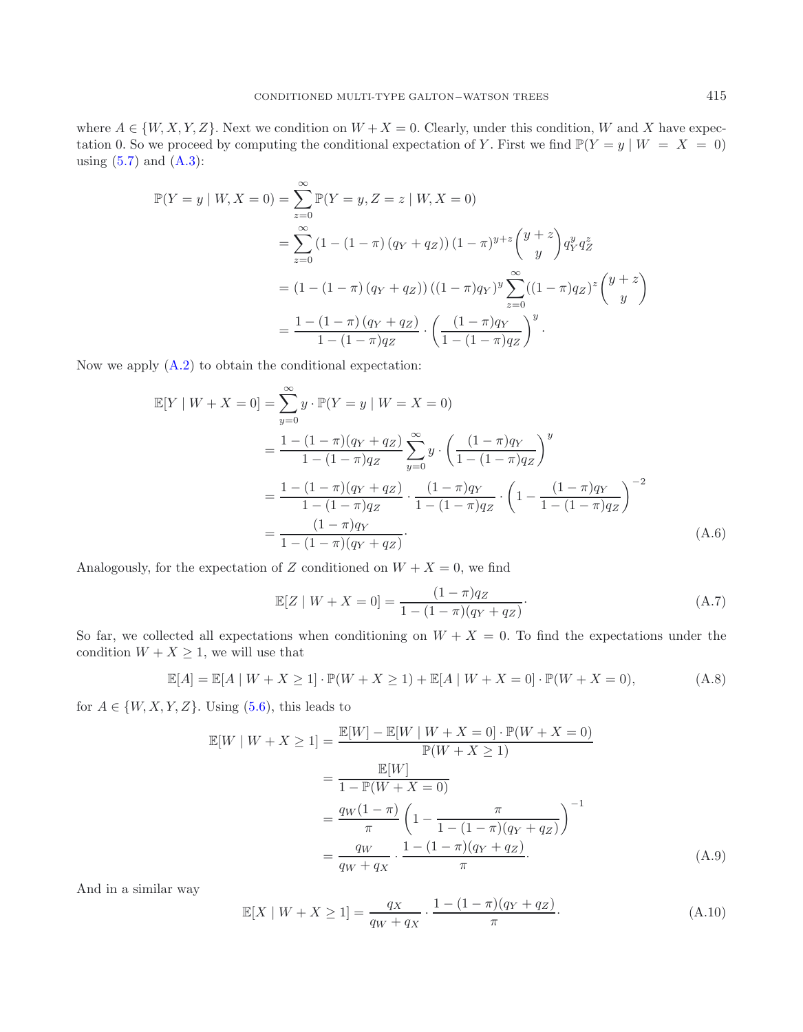where  $A \in \{W, X, Y, Z\}$ . Next we condition on  $W + X = 0$ . Clearly, under this condition, W and X have expectation 0. So we proceed by computing the conditional expectation of Y. First we find  $\mathbb{P}(Y = y | W = X = 0)$ using  $(5.7)$  and  $(A.3)$ :

$$
\mathbb{P}(Y = y | W, X = 0) = \sum_{z=0}^{\infty} \mathbb{P}(Y = y, Z = z | W, X = 0)
$$
  
= 
$$
\sum_{z=0}^{\infty} (1 - (1 - \pi) (q_Y + q_Z)) (1 - \pi)^{y+z} {y + z \choose y} q_Y^y q_Z^z
$$
  
= 
$$
(1 - (1 - \pi) (q_Y + q_Z)) ((1 - \pi) q_Y)^y \sum_{z=0}^{\infty} ((1 - \pi) q_Z)^z {y + z \choose y}
$$
  
= 
$$
\frac{1 - (1 - \pi) (q_Y + q_Z)}{1 - (1 - \pi) q_Z} \cdot \left(\frac{(1 - \pi) q_Y}{1 - (1 - \pi) q_Z}\right)^y.
$$

Now we apply [\(A.2\)](#page-14-1) to obtain the conditional expectation:

$$
\mathbb{E}[Y \mid W + X = 0] = \sum_{y=0}^{\infty} y \cdot \mathbb{P}(Y = y \mid W = X = 0)
$$
  
= 
$$
\frac{1 - (1 - \pi)(q_Y + q_Z)}{1 - (1 - \pi)q_Z} \sum_{y=0}^{\infty} y \cdot \left(\frac{(1 - \pi)q_Y}{1 - (1 - \pi)q_Z}\right)^y
$$
  
= 
$$
\frac{1 - (1 - \pi)(q_Y + q_Z)}{1 - (1 - \pi)q_Z} \cdot \frac{(1 - \pi)q_Y}{1 - (1 - \pi)q_Z} \cdot \left(1 - \frac{(1 - \pi)q_Y}{1 - (1 - \pi)q_Z}\right)^{-2}
$$
  
= 
$$
\frac{(1 - \pi)q_Y}{1 - (1 - \pi)(q_Y + q_Z)}.
$$
(A.6)

Analogously, for the expectation of Z conditioned on  $W + X = 0$ , we find

$$
\mathbb{E}[Z \mid W + X = 0] = \frac{(1 - \pi)q_Z}{1 - (1 - \pi)(q_Y + q_Z)}.
$$
\n(A.7)

So far, we collected all expectations when conditioning on  $W + X = 0$ . To find the expectations under the condition  $W + X \geq 1$ , we will use that

$$
\mathbb{E}[A] = \mathbb{E}[A \mid W + X \ge 1] \cdot \mathbb{P}(W + X \ge 1) + \mathbb{E}[A \mid W + X = 0] \cdot \mathbb{P}(W + X = 0),
$$
 (A.8)

for  $A \in \{W, X, Y, Z\}$ . Using [\(5.6\)](#page-10-1), this leads to

$$
\mathbb{E}[W \mid W + X \ge 1] = \frac{\mathbb{E}[W] - \mathbb{E}[W \mid W + X = 0] \cdot \mathbb{P}(W + X = 0)}{\mathbb{P}(W + X \ge 1)} \n= \frac{\mathbb{E}[W]}{1 - \mathbb{P}(W + X = 0)} \n= \frac{q_W(1 - \pi)}{\pi} \left(1 - \frac{\pi}{1 - (1 - \pi)(q_Y + q_Z)}\right)^{-1} \n= \frac{q_W}{q_W + q_X} \cdot \frac{1 - (1 - \pi)(q_Y + q_Z)}{\pi}.
$$
\n(A.9)

And in a similar way

$$
\mathbb{E}[X \mid W + X \ge 1] = \frac{q_X}{q_W + q_X} \cdot \frac{1 - (1 - \pi)(q_Y + q_Z)}{\pi}.
$$
\n(A.10)